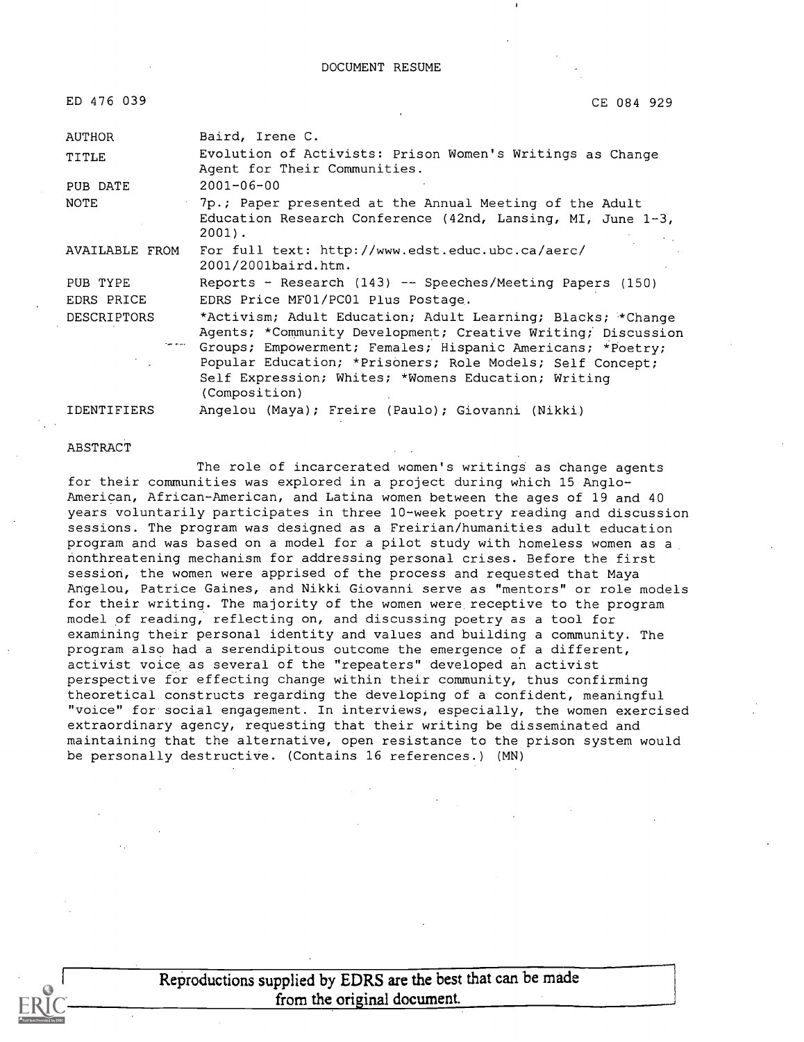DOCUMENT RESUME

| ED 476 039         | CE 084 929                                                                                                                                                                                                                                                                                                                     |
|--------------------|--------------------------------------------------------------------------------------------------------------------------------------------------------------------------------------------------------------------------------------------------------------------------------------------------------------------------------|
| AUTHOR             | Baird, Irene C.                                                                                                                                                                                                                                                                                                                |
| TITLE              | Evolution of Activists: Prison Women's Writings as Change<br>Agent for Their Communities.                                                                                                                                                                                                                                      |
| PUB DATE           | $2001 - 06 - 00$                                                                                                                                                                                                                                                                                                               |
| <b>NOTE</b>        | 7p.; Paper presented at the Annual Meeting of the Adult<br>Education Research Conference (42nd, Lansing, MI, June 1-3,<br>$2001$ .                                                                                                                                                                                             |
| AVAILABLE FROM     | For full text: http://www.edst.educ.ubc.ca/aerc/<br>2001/2001baird.htm.                                                                                                                                                                                                                                                        |
| PUB TYPE           | Reports - Research (143) -- Speeches/Meeting Papers (150)                                                                                                                                                                                                                                                                      |
| EDRS PRICE         | EDRS Price MF01/PC01 Plus Postage.                                                                                                                                                                                                                                                                                             |
| <b>DESCRIPTORS</b> | *Activism; Adult Education; Adult Learning; Blacks; *Change<br>Agents; *Community Development; Creative Writing; Discussion<br>Groups; Empowerment; Females; Hispanic Americans; *Poetry;<br>Popular Education; *Prisoners; Role Models; Self Concept;<br>Self Expression; Whites; *Womens Education; Writing<br>(Composition) |
| <b>IDENTIFIERS</b> | Angelou (Maya); Freire (Paulo); Giovanni (Nikki)                                                                                                                                                                                                                                                                               |

ABSTRACT

#### The role of incarcerated women's writings as change agents for their communities was explored in a project during which 15 Anglo-American, African-American, and Latina women between the ages of 19 and 40 years voluntarily participates in three 10-week poetry reading and discussion sessions. The program was designed as a Freirian/humanities adult education program and was based on a model for a pilot study with homeless women as a nonthreatening mechanism for addressing personal crises. Before the first session, the women were apprised of the process and requested that Maya Angelou, Patrice Gaines, and Nikki Giovanni serve as "mentors" or role models for their writing. The majority of the women were receptive to the program model of reading, reflecting on, and discussing poetry as a tool for examining their personal identity and values and building a community. The program also had a serendipitous outcome the emergence of a different, activist voice as several of the "repeaters" developed an activist perspective for effecting change within their community, thus confirming theoretical constructs regarding the developing of a confident, meaningful "voice" for social engagement. In interviews, especially, the women exercised extraordinary agency, requesting that their writing be disseminated and maintaining that the alternative, open resistance to the prison system would be personally destructive. (Contains 16 references.) (MN)

Reproductions supplied by EDRS are the best that can be made from the original document.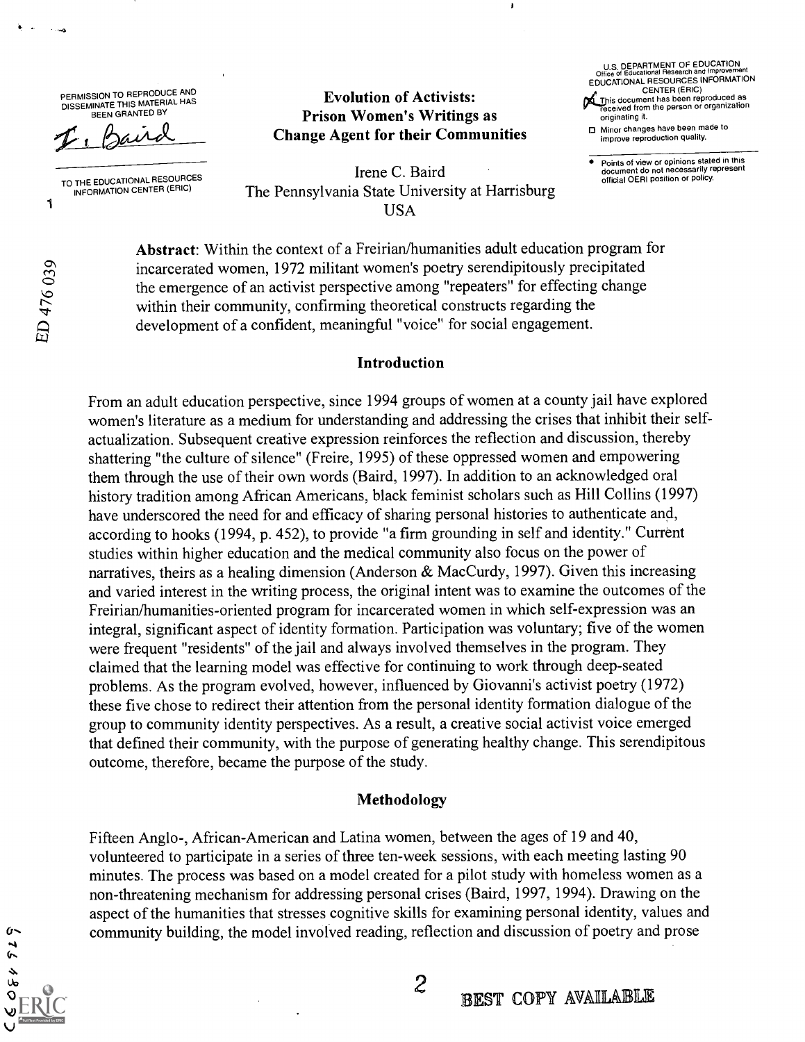PERMISSION TO REPRODUCE AND DISSEMINATE THIS MATERIAL HAS BEEN GRANTED BY

TO THE EDUCATIONAL RESOURCES INFORMATION CENTER (ERIC)

#### Evolution of Activists: Prison Women's Writings as Change Agent for their Communities

U.S. DEPARTMENT OF EDUCATION Office of Educational Research and Improvement EDUCATIONAL RESOURCES INFORMATION CENTER (ERIC)<br>This document has been reproduced as<br>received from the person or organization originating it.

Minor changes have been made to improve reproduction quality.

Points of view or opinions stated in this document do not necessarily represent official OERI position or policy.

Irene C. Baird The Pennsylvania State University at Harrisburg USA

Abstract: Within the context of a Freirian/humanities adult education program for incarcerated women, 1972 militant women's poetry serendipitously precipitated the emergence of an activist perspective among "repeaters" for effecting change within their community, confirming theoretical constructs regarding the development of a confident, meaningful "voice" for social engagement.

#### Introduction

From an adult education perspective, since 1994 groups of women at a county jail have explored women's literature as a medium for understanding and addressing the crises that inhibit their selfactualization. Subsequent creative expression reinforces the reflection and discussion, thereby shattering "the culture of silence" (Freire, 1995) of these oppressed women and empowering them through the use of their own words (Baird, 1997). In addition to an acknowledged oral history tradition among African Americans, black feminist scholars such as Hill Collins (1997) have underscored the need for and efficacy of sharing personal histories to authenticate and, according to hooks (1994, p. 452), to provide "a firm grounding in self and identity." Current studies within higher education and the medical community also focus on the power of narratives, theirs as a healing dimension (Anderson & MacCurdy, 1997). Given this increasing and varied interest in the writing process, the original intent was to examine the outcomes of the Freirian/humanities-oriented program for incarcerated women in which self-expression was an integral, significant aspect of identity formation. Participation was voluntary; five of the women were frequent "residents" of the jail and always involved themselves in the program. They claimed that the learning model was effective for continuing to work through deep-seated problems. As the program evolved, however, influenced by Giovanni's activist poetry (1972) these five chose to redirect their attention from the personal identity formation dialogue of the group to community identity perspectives. As a result, a creative social activist voice emerged that defined their community, with the purpose of generating healthy change. This serendipitous outcome, therefore, became the purpose of the study.

#### Methodology

Fifteen Anglo-, African-American and Latina women, between the ages of 19 and 40, volunteered to participate in a series of three ten-week sessions, with each meeting lasting 90 minutes. The process was based on a model created for a pilot study with homeless women as a non-threatening mechanism for addressing personal crises (Baird, 1997, 1994). Drawing on the aspect of the humanities that stresses cognitive skills for examining personal identity, values and community building, the model involved reading, reflection and discussion of poetry and prose

ED 476039

 $\mathbf{C}$  $52$  $\lambda$ Uo  $\overline{O}$ 

1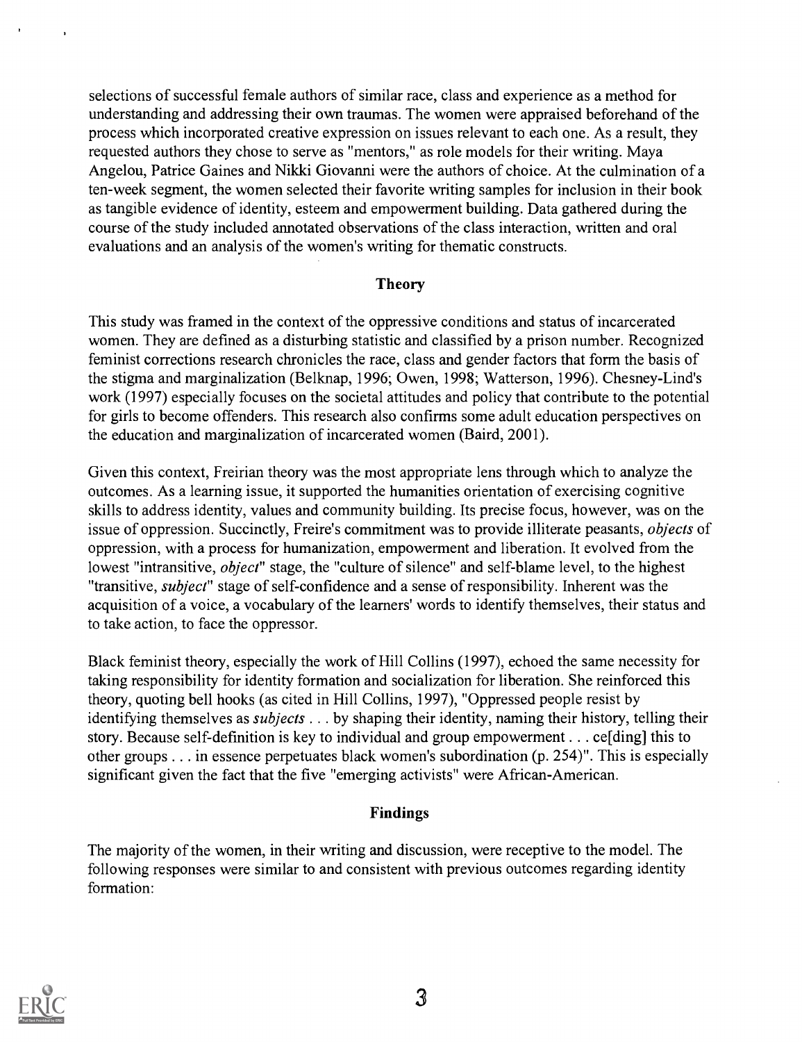selections of successful female authors of similar race, class and experience as a method for understanding and addressing their own traumas. The women were appraised beforehand of the process which incorporated creative expression on issues relevant to each one. As a result, they requested authors they chose to serve as "mentors," as role models for their writing. Maya Angelou, Patrice Gaines and Nikki Giovanni were the authors of choice. At the culmination of a ten-week segment, the women selected their favorite writing samples for inclusion in their book as tangible evidence of identity, esteem and empowerment building. Data gathered during the course of the study included annotated observations of the class interaction, written and oral evaluations and an analysis of the women's writing for thematic constructs.

#### Theory

This study was framed in the context of the oppressive conditions and status of incarcerated women. They are defined as a disturbing statistic and classified by a prison number. Recognized feminist corrections research chronicles the race, class and gender factors that form the basis of the stigma and marginalization (Belknap, 1996; Owen, 1998; Watterson, 1996). Chesney-Lind's work (1997) especially focuses on the societal attitudes and policy that contribute to the potential for girls to become offenders. This research also confirms some adult education perspectives on the education and marginalization of incarcerated women (Baird, 2001).

Given this context, Freirian theory was the most appropriate lens through which to analyze the outcomes. As a learning issue, it supported the humanities orientation of exercising cognitive skills to address identity, values and community building. Its precise focus, however, was on the issue of oppression. Succinctly, Freire's commitment was to provide illiterate peasants, objects of oppression, with a process for humanization, empowerment and liberation. It evolved from the lowest "intransitive, *object*" stage, the "culture of silence" and self-blame level, to the highest "transitive, subject" stage of self-confidence and a sense of responsibility. Inherent was the acquisition of a voice, a vocabulary of the learners' words to identify themselves, their status and to take action, to face the oppressor.

Black feminist theory, especially the work of Hill Collins (1997), echoed the same necessity for taking responsibility for identity formation and socialization for liberation. She reinforced this theory, quoting bell hooks (as cited in Hill Collins, 1997), "Oppressed people resist by identifying themselves as *subjects* . . . by shaping their identity, naming their history, telling their story. Because self-definition is key to individual and group empowerment . . . ce[ding] this to other groups . . . in essence perpetuates black women's subordination (p. 254)". This is especially significant given the fact that the five "emerging activists" were African-American.

#### Findings

The majority of the women, in their writing and discussion, were receptive to the model. The following responses were similar to and consistent with previous outcomes regarding identity formation:

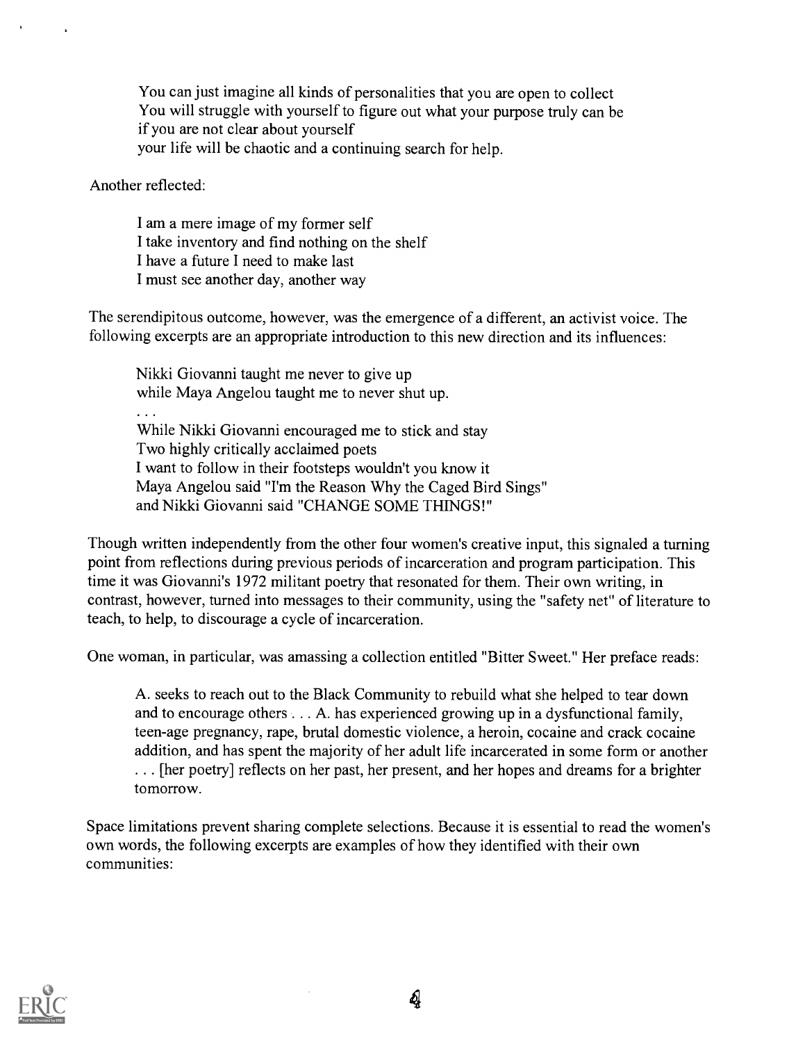You can just imagine all kinds of personalities that you are open to collect You will struggle with yourself to figure out what your purpose truly can be if you are not clear about yourself your life will be chaotic and a continuing search for help.

Another reflected:

I am a mere image of my former self I take inventory and find nothing on the shelf I have a future I need to make last I must see another day, another way

The serendipitous outcome, however, was the emergence of a different, an activist voice. The following excerpts are an appropriate introduction to this new direction and its influences:

Nikki Giovanni taught me never to give up while Maya Angelou taught me to never shut up. While Nikki Giovanni encouraged me to stick and stay Two highly critically acclaimed poets I want to follow in their footsteps wouldn't you know it Maya Angelou said "I'm the Reason Why the Caged Bird Sings" and Nikki Giovanni said "CHANGE SOME THINGS!"

Though written independently from the other four women's creative input, this signaled a turning point from reflections during previous periods of incarceration and program participation. This time it was Giovanni's 1972 militant poetry that resonated for them. Their own writing, in contrast, however, turned into messages to their community, using the "safety net" of literature to teach, to help, to discourage a cycle of incarceration.

One woman, in particular, was amassing a collection entitled "Bitter Sweet." Her preface reads:

A. seeks to reach out to the Black Community to rebuild what she helped to tear down and to encourage others . . . A. has experienced growing up in a dysfunctional family, teen-age pregnancy, rape, brutal domestic violence, a heroin, cocaine and crack cocaine addition, and has spent the majority of her adult life incarcerated in some form or another . . . [her poetry] reflects on her past, her present, and her hopes and dreams for a brighter tomorrow.

Space limitations prevent sharing complete selections. Because it is essential to read the women's own words, the following excerpts are examples of how they identified with their own communities:

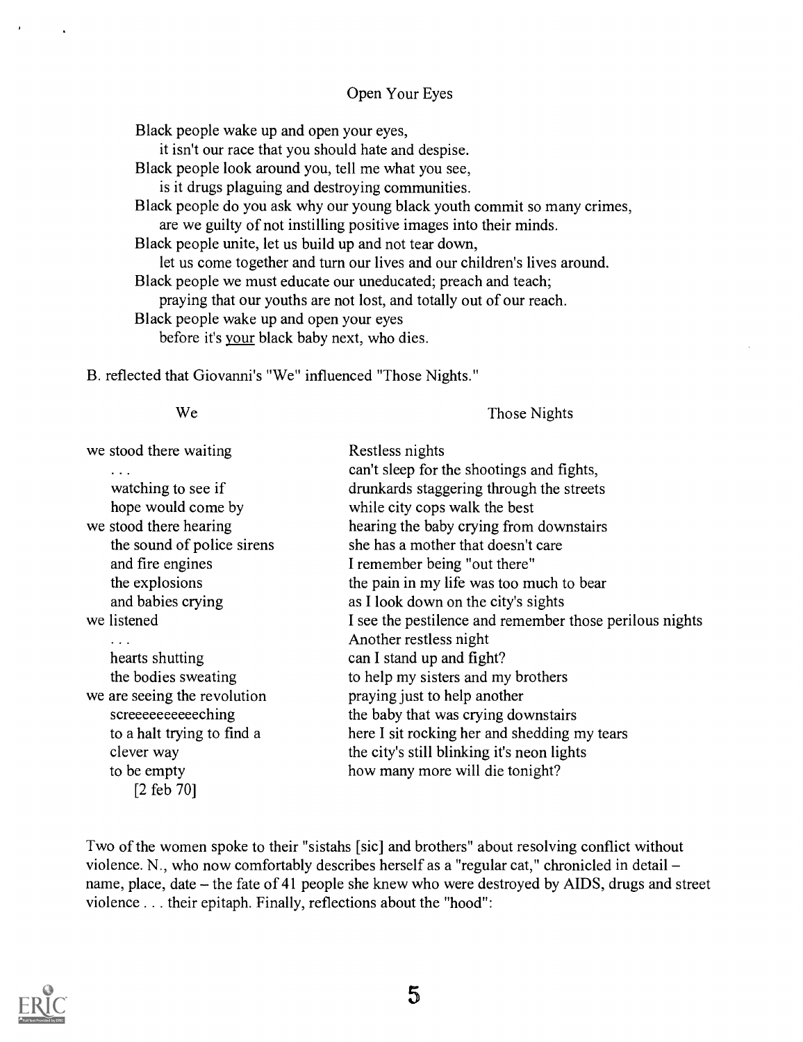#### Open Your Eyes

Black people wake up and open your eyes,

it isn't our race that you should hate and despise.

Black people look around you, tell me what you see,

is it drugs plaguing and destroying communities.

Black people do you ask why our young black youth commit so many crimes, are we guilty of not instilling positive images into their minds.

Black people unite, let us build up and not tear down,

let us come together and turn our lives and our children's lives around. Black people we must educate our uneducated; preach and teach;

praying that our youths are not lost, and totally out of our reach.

Black people wake up and open your eyes

before it's your black baby next, who dies.

B. reflected that Giovanni's "We" influenced "Those Nights."

We

Those Nights

| we stood there waiting<br>$\cdots$ | Restless nights<br>can't sleep for the shootings and fights, |
|------------------------------------|--------------------------------------------------------------|
| watching to see if                 | drunkards staggering through the streets                     |
| hope would come by                 | while city cops walk the best                                |
| we stood there hearing             | hearing the baby crying from downstairs                      |
| the sound of police sirens         | she has a mother that doesn't care                           |
| and fire engines                   | I remember being "out there"                                 |
| the explosions                     | the pain in my life was too much to bear                     |
| and babies crying                  | as I look down on the city's sights                          |
| we listened                        | I see the pestilence and remember those perilous nights      |
| $\cdots$                           | Another restless night                                       |
| hearts shutting                    | can I stand up and fight?                                    |
| the bodies sweating                | to help my sisters and my brothers                           |
| we are seeing the revolution       | praying just to help another                                 |
| screeeeeeeeeching                  | the baby that was crying downstairs                          |
| to a halt trying to find a         | here I sit rocking her and shedding my tears                 |
| clever way                         | the city's still blinking it's neon lights                   |
| to be empty                        | how many more will die tonight?                              |
| $[2 \text{ feb } 70]$              |                                                              |

Two of the women spoke to their "sistahs [sic] and brothers" about resolving conflict without violence. N., who now comfortably describes herself as a "regular cat," chronicled in detail name, place, date – the fate of 41 people she knew who were destroyed by AIDS, drugs and street violence . . . their epitaph. Finally, reflections about the "hood":

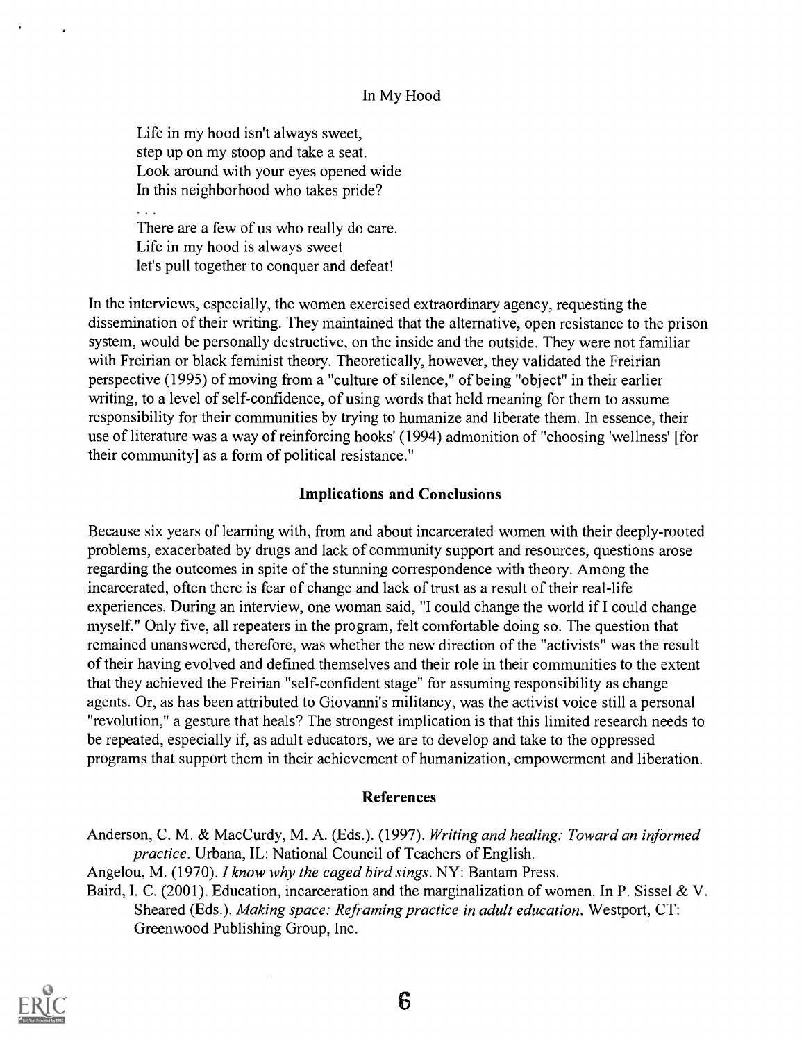#### In My Hood

Life in my hood isn't always sweet, step up on my stoop and take a seat. Look around with your eyes opened wide In this neighborhood who takes pride?

 $\ddotsc$ 

There are a few of us who really do care. Life in my hood is always sweet let's pull together to conquer and defeat!

In the interviews, especially, the women exercised extraordinary agency, requesting the dissemination of their writing. They maintained that the alternative, open resistance to the prison system, would be personally destructive, on the inside and the outside. They were not familiar with Freirian or black feminist theory. Theoretically, however, they validated the Freirian perspective (1995) of moving from a "culture of silence," of being "object" in their earlier writing, to a level of self-confidence, of using words that held meaning for them to assume responsibility for their communities by trying to humanize and liberate them. In essence, their use of literature was a way of reinforcing hooks' (1994) admonition of "choosing 'wellness' [for their community] as a form of political resistance."

#### Implications and Conclusions

Because six years of learning with, from and about incarcerated women with their deeply-rooted problems, exacerbated by drugs and lack of community support and resources, questions arose regarding the outcomes in spite of the stunning correspondence with theory. Among the incarcerated, often there is fear of change and lack of trust as a result of their real-life experiences. During an interview, one woman said, "I could change the world if I could change myself." Only five, all repeaters in the program, felt comfortable doing so. The question that remained unanswered, therefore, was whether the new direction of the "activists" was the result of their having evolved and defined themselves and their role in their communities to the extent that they achieved the Freirian "self-confident stage" for assuming responsibility as change agents. Or, as has been attributed to Giovanni's militancy, was the activist voice still a personal "revolution," a gesture that heals? The strongest implication is that this limited research needs to be repeated, especially if, as adult educators, we are to develop and take to the oppressed programs that support them in their achievement of humanization, empowerment and liberation.

#### References

Anderson, C. M. & MacCurdy, M. A. (Eds.). (1997). Writing and healing: Toward an informed practice. Urbana, IL: National Council of Teachers of English.

Angelou, M. (1970). I know why the caged bird sings. NY: Bantam Press.

Baird, I. C. (2001). Education, incarceration and the marginalization of women. In P. Sissel & V. Sheared (Eds.). Making space: Reframing practice in adult education. Westport, CT: Greenwood Publishing Group, Inc.

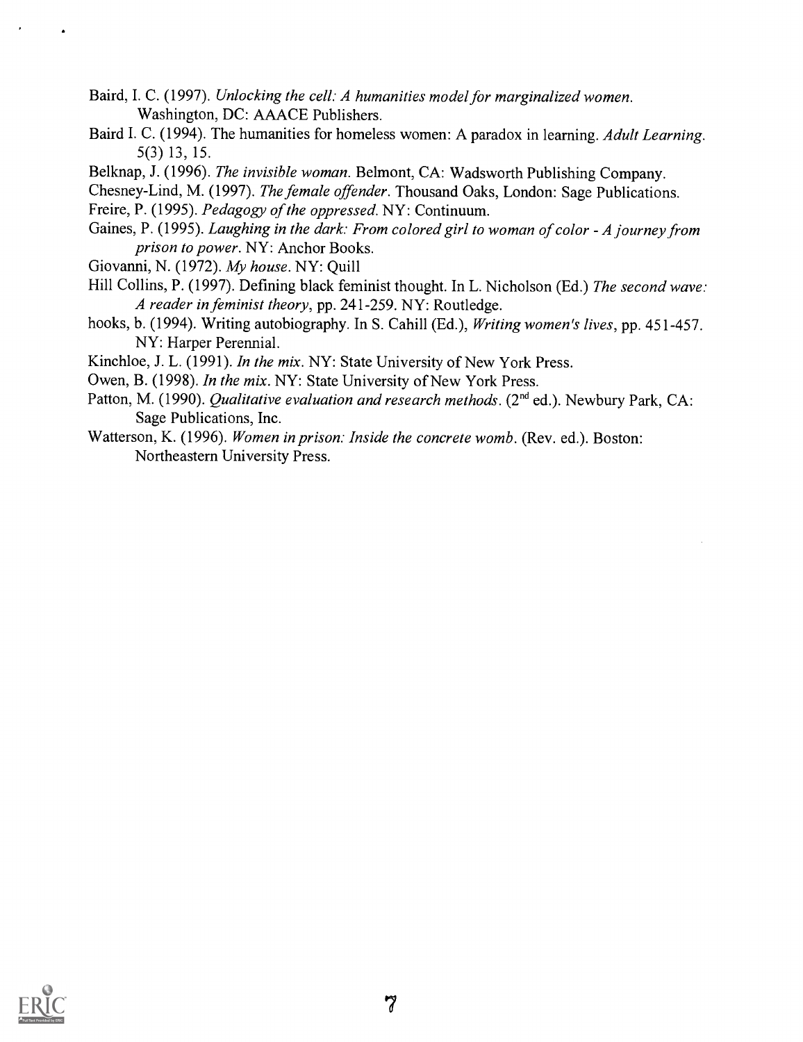- Baird, I. C. (1997). Unlocking the cell: A humanities model for marginalized women. Washington, DC: AAACE Publishers.
- Baird I. C. (1994). The humanities for homeless women: A paradox in learning. Adult Learning. 5(3) 13, 15.
- Belknap, J. (1996). The invisible woman. Belmont, CA: Wadsworth Publishing Company.
- Chesney-Lind, M. (1997). The female offender. Thousand Oaks, London: Sage Publications.
- Freire, P. (1995). Pedagogy of the oppressed. NY: Continuum.
- Gaines, P. (1995). Laughing in the dark: From colored girl to woman of color A journey from prison to power. NY: Anchor Books.
- Giovanni, N. (1972). My house. NY: Quill
- Hill Collins, P. (1997). Defining black feminist thought. In L. Nicholson (Ed.) The second wave: A reader in feminist theory, pp. 241-259. NY: Routledge.
- hooks, b. (1994). Writing autobiography. In S. Cahill (Ed.), Writing women's lives, pp. 451-457. NY: Harper Perennial.
- Kinchloe, J. L. (1991). In the mix. NY: State University of New York Press.
- Owen, B. (1998). In the mix. NY: State University of New York Press.
- Patton, M. (1990). Qualitative evaluation and research methods. (2<sup>nd</sup> ed.). Newbury Park, CA: Sage Publications, Inc.
- Watterson, K. (1996). Women in prison: Inside the concrete womb. (Rev. ed.). Boston: Northeastern University Press.

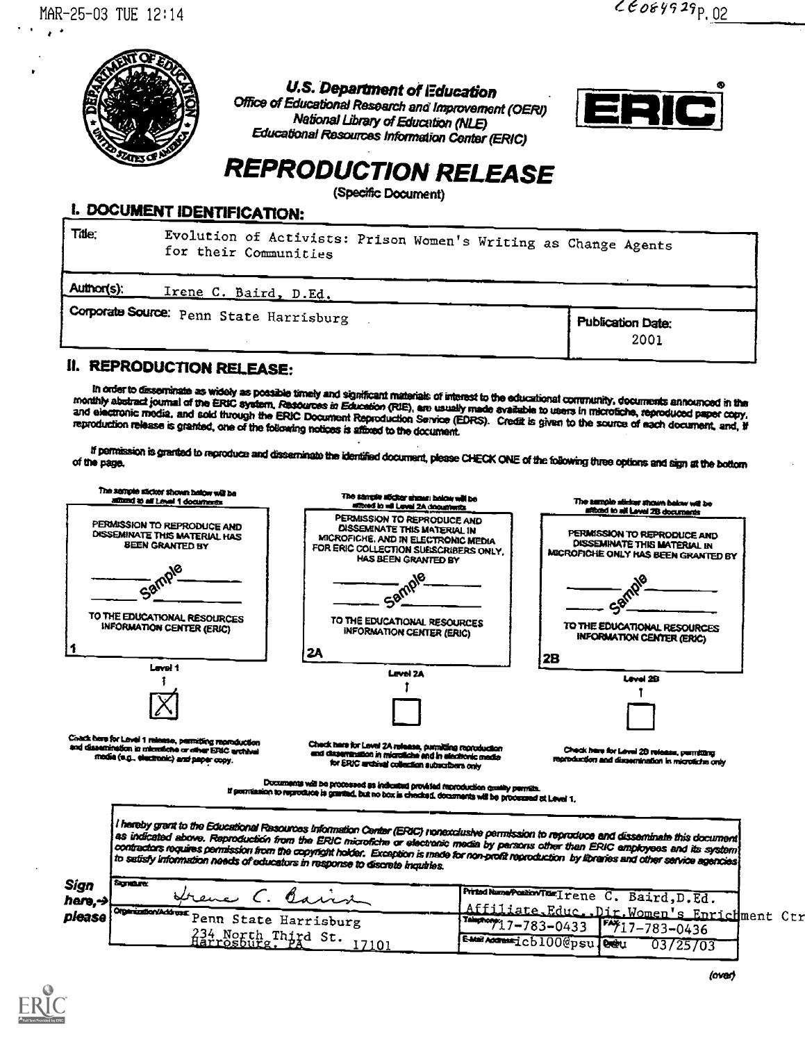

U.S. Department of Education<br>Office of Educational Research and Improvement (OERI) National Library of Education (NLE) Educational Resources hiforrnation Center (ERIC)



# REPRODUCTION RELEASE

(Specific Document)

### I. DOCUMENT IDENTIFICATION:

| Title:<br>for their Communities         | Evolution of Activists: Prison Women's Writing as Change Agents |
|-----------------------------------------|-----------------------------------------------------------------|
| Author(s):<br>Irene C. Baird, D.Ed.     |                                                                 |
| Corporate Source: Penn State Harrisburg | Publication Date:<br>2001                                       |

## IL REPRODUCTION RELEASE:

In order to disseminate as widely as possible timely and significant materials of interest to the educational community, documents announced in the<br>monthly abstract journal of the ERIC system, Resources in Education (RIE),

If permission is granted to reproduce and disseminate the identified document, please CHECK ONE of the following three options and sign at the bottom